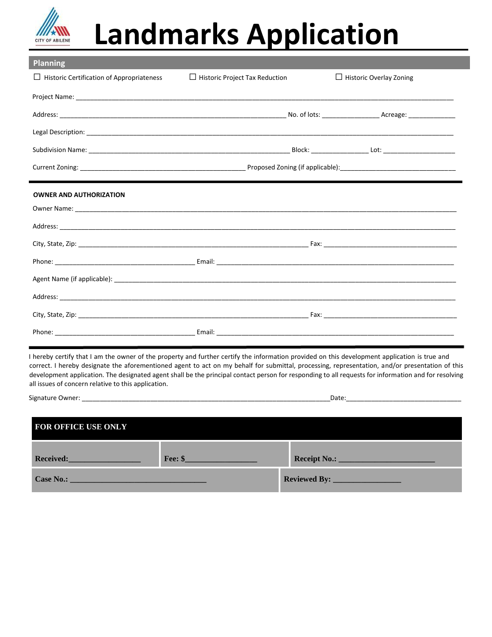

## **Landmarks Application**

| <b>Planning</b>                                  |                                       |                                |
|--------------------------------------------------|---------------------------------------|--------------------------------|
| $\Box$ Historic Certification of Appropriateness | $\Box$ Historic Project Tax Reduction | $\Box$ Historic Overlay Zoning |
|                                                  |                                       |                                |
|                                                  |                                       |                                |
|                                                  |                                       |                                |
|                                                  |                                       |                                |
|                                                  |                                       |                                |
| <b>OWNER AND AUTHORIZATION</b>                   |                                       |                                |
|                                                  |                                       |                                |
|                                                  |                                       |                                |
|                                                  |                                       |                                |
|                                                  |                                       |                                |
|                                                  |                                       |                                |
|                                                  |                                       |                                |
|                                                  |                                       |                                |
|                                                  |                                       |                                |

I hereby certify that I am the owner of the property and further certify the information provided on this development application is true and correct. I hereby designate the aforementioned agent to act on my behalf for submittal, processing, representation, and/or presentation of this development application. The designated agent shall be the principal contact person for responding to all requests for information and for resolving all issues of concern relative to this application.

Signature Owner: \_\_\_\_\_\_\_\_\_\_\_\_\_\_\_\_\_\_\_\_\_\_\_\_\_\_\_\_\_\_\_\_\_\_\_\_\_\_\_\_\_\_\_\_\_\_\_\_\_\_\_\_\_\_\_\_\_\_\_\_\_\_\_\_\_\_\_\_\_Date:\_\_\_\_\_\_\_\_\_\_\_\_\_\_\_\_\_\_\_\_\_\_\_\_\_\_\_\_\_\_\_\_

| <b>FOR OFFICE USE ONLY</b> |                   |  |
|----------------------------|-------------------|--|
| <b>Received:</b>           | $\text{Fee: }$ \$ |  |
| Case No.:                  |                   |  |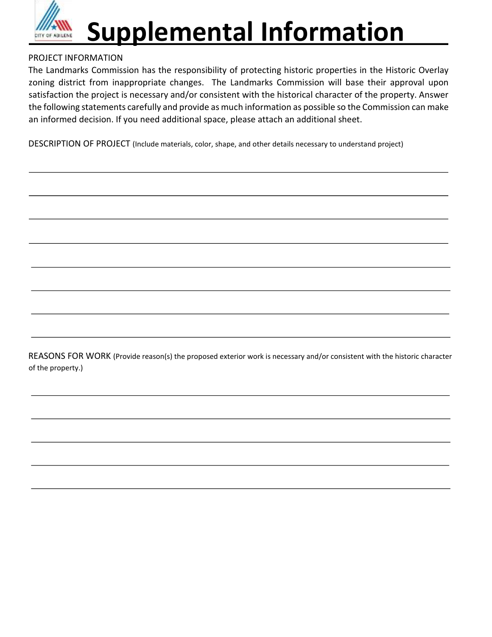

## **Supplemental Information**

## PROJECT INFORMATION

The Landmarks Commission has the responsibility of protecting historic properties in the Historic Overlay zoning district from inappropriate changes. The Landmarks Commission will base their approval upon satisfaction the project is necessary and/or consistent with the historical character of the property. Answer the following statements carefully and provide as much information as possible so the Commission can make an informed decision. If you need additional space, please attach an additional sheet.

DESCRIPTION OF PROJECT (Include materials, color, shape, and other details necessary to understand project)

REASONS FOR WORK (Provide reason(s) the proposed exterior work is necessary and/or consistent with the historic character of the property.)